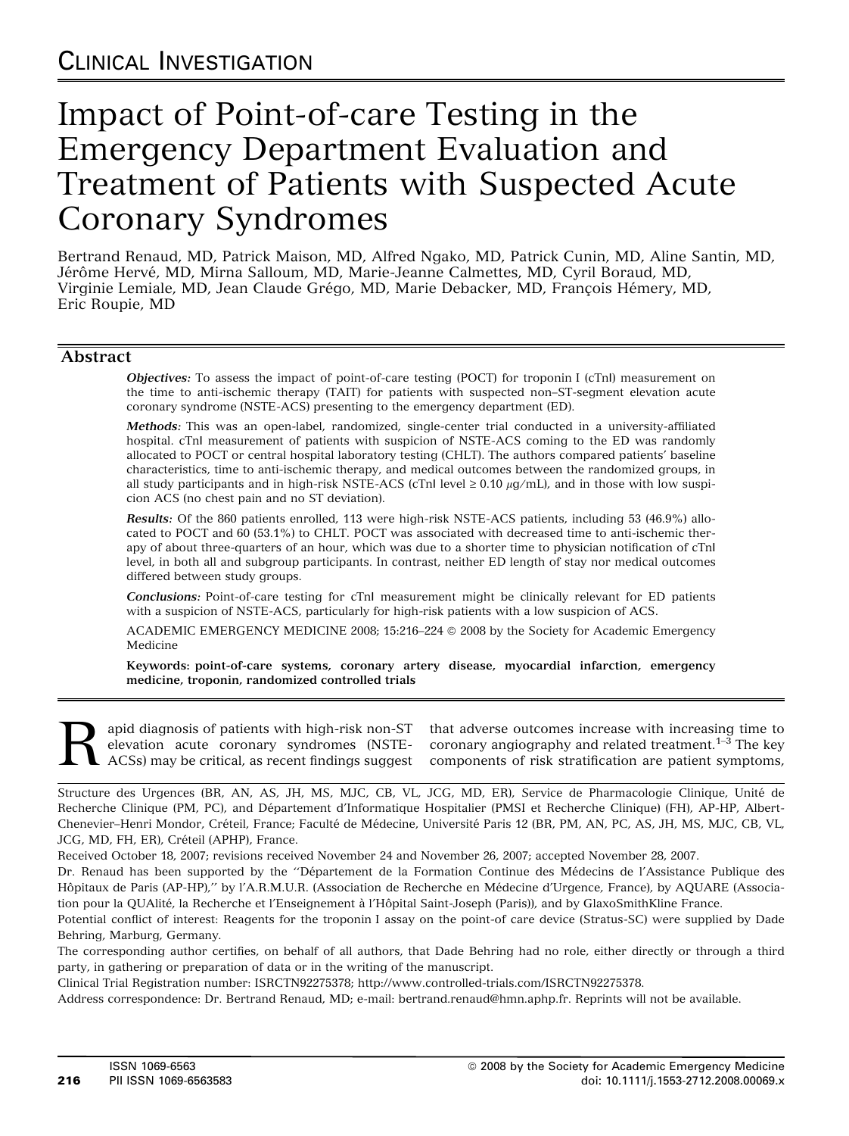# Impact of Point-of-care Testing in the Emergency Department Evaluation and Treatment of Patients with Suspected Acute Coronary Syndromes

Bertrand Renaud, MD, Patrick Maison, MD, Alfred Ngako, MD, Patrick Cunin, MD, Aline Santin, MD, Jérôme Hervé, MD, Mirna Salloum, MD, Marie-Jeanne Calmettes, MD, Cyril Boraud, MD, Virginie Lemiale, MD, Jean Claude Grégo, MD, Marie Debacker, MD, François Hémery, MD, Eric Roupie, MD

# Abstract

Objectives: To assess the impact of point-of-care testing (POCT) for troponin I (cTnI) measurement on the time to anti-ischemic therapy (TAIT) for patients with suspected non–ST-segment elevation acute coronary syndrome (NSTE-ACS) presenting to the emergency department (ED).

Methods: This was an open-label, randomized, single-center trial conducted in a university-affiliated hospital. cTnI measurement of patients with suspicion of NSTE-ACS coming to the ED was randomly allocated to POCT or central hospital laboratory testing (CHLT). The authors compared patients' baseline characteristics, time to anti-ischemic therapy, and medical outcomes between the randomized groups, in all study participants and in high-risk NSTE-ACS (cTnI level  $\geq 0.10 \mu g/mL$ ), and in those with low suspicion ACS (no chest pain and no ST deviation).

Results: Of the 860 patients enrolled, 113 were high-risk NSTE-ACS patients, including 53 (46.9%) allocated to POCT and 60 (53.1%) to CHLT. POCT was associated with decreased time to anti-ischemic therapy of about three-quarters of an hour, which was due to a shorter time to physician notification of cTnI level, in both all and subgroup participants. In contrast, neither ED length of stay nor medical outcomes differed between study groups.

Conclusions: Point-of-care testing for cTnI measurement might be clinically relevant for ED patients with a suspicion of NSTE-ACS, particularly for high-risk patients with a low suspicion of ACS.

ACADEMIC EMERGENCY MEDICINE 2008; 15:216–224 ª 2008 by the Society for Academic Emergency Medicine

Keywords: point-of-care systems, coronary artery disease, myocardial infarction, emergency medicine, troponin, randomized controlled trials

Rapid diagnosis of patients with high-risk non-ST<br>elevation acute coronary syndromes (NSTE-<br>ACSs) may be critical, as recent findings suggest elevation acute coronary syndromes (NSTE-

that adverse outcomes increase with increasing time to coronary angiography and related treatment.<sup>1-3</sup> The key components of risk stratification are patient symptoms,

Structure des Urgences (BR, AN, AS, JH, MS, MJC, CB, VL, JCG, MD, ER), Service de Pharmacologie Clinique, Unité de Recherche Clinique (PM, PC), and Département d'Informatique Hospitalier (PMSI et Recherche Clinique) (FH), AP-HP, Albert-Chenevier–Henri Mondor, Créteil, France; Faculté de Médecine, Université Paris 12 (BR, PM, AN, PC, AS, JH, MS, MJC, CB, VL, JCG, MD, FH, ER), Créteil (APHP), France.

Received October 18, 2007; revisions received November 24 and November 26, 2007; accepted November 28, 2007.

Dr. Renaud has been supported by the ''Département de la Formation Continue des Médecins de l'Assistance Publique des Hôpitaux de Paris (AP-HP),'' by l'A.R.M.U.R. (Association de Recherche en Médecine d'Urgence, France), by AQUARE (Association pour la QUAlité, la Recherche et l'Enseignement à l'Hôpital Saint-Joseph (Paris)), and by GlaxoSmithKline France.

Potential conflict of interest: Reagents for the troponin I assay on the point-of care device (Stratus-SC) were supplied by Dade Behring, Marburg, Germany.

The corresponding author certifies, on behalf of all authors, that Dade Behring had no role, either directly or through a third party, in gathering or preparation of data or in the writing of the manuscript.

Clinical Trial Registration number: ISRCTN92275378; http://www.controlled-trials.com/ISRCTN92275378.

Address correspondence: Dr. Bertrand Renaud, MD; e-mail: bertrand.renaud@hmn.aphp.fr. Reprints will not be available.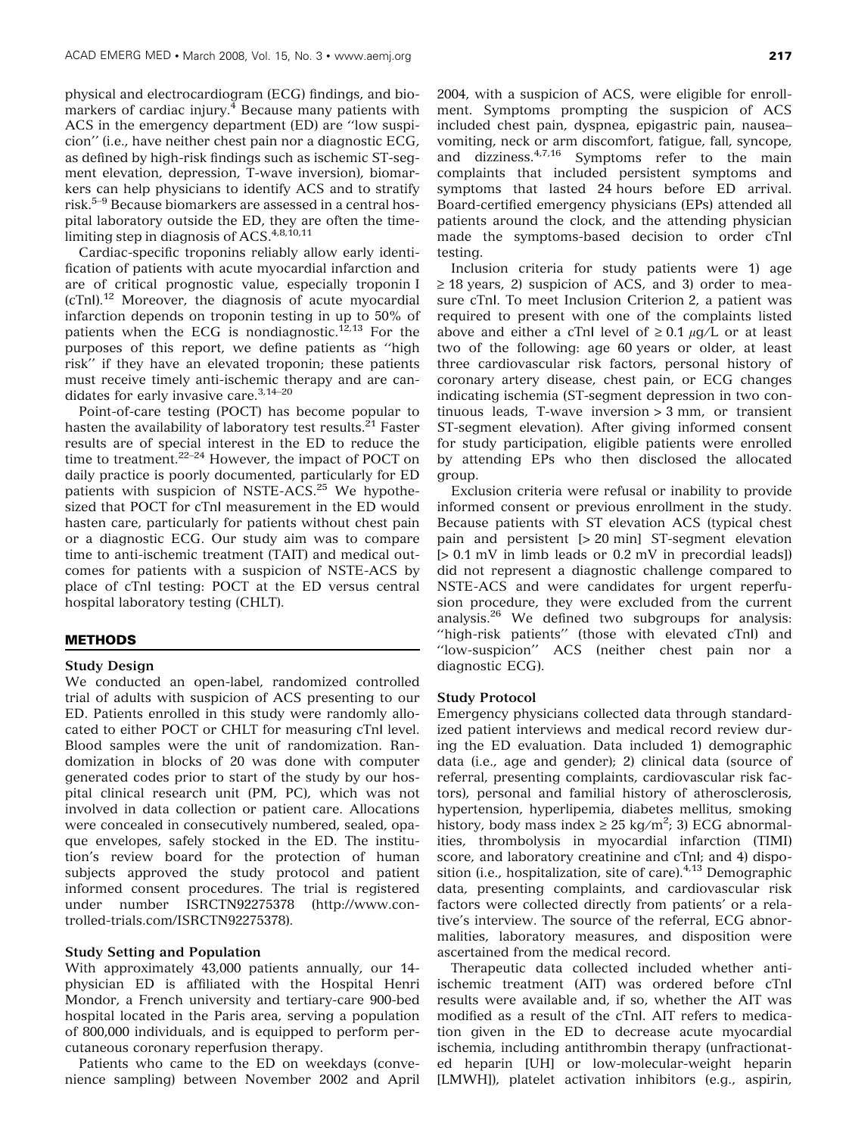physical and electrocardiogram (ECG) findings, and biomarkers of cardiac injury.<sup>4</sup> Because many patients with ACS in the emergency department (ED) are ''low suspicion'' (i.e., have neither chest pain nor a diagnostic ECG, as defined by high-risk findings such as ischemic ST-segment elevation, depression, T-wave inversion), biomarkers can help physicians to identify ACS and to stratify risk.<sup>5–9</sup> Because biomarkers are assessed in a central hospital laboratory outside the ED, they are often the timelimiting step in diagnosis of  $\text{ACS}.^{\,4,8,10,11}$ 

Cardiac-specific troponins reliably allow early identification of patients with acute myocardial infarction and are of critical prognostic value, especially troponin I (cTnI).<sup>12</sup> Moreover, the diagnosis of acute myocardial infarction depends on troponin testing in up to 50% of patients when the ECG is nondiagnostic.<sup>12,13</sup> For the purposes of this report, we define patients as ''high risk'' if they have an elevated troponin; these patients must receive timely anti-ischemic therapy and are candidates for early invasive care.<sup>3,14-20</sup>

Point-of-care testing (POCT) has become popular to hasten the availability of laboratory test results.<sup>21</sup> Faster results are of special interest in the ED to reduce the time to treatment. $22-24$  However, the impact of POCT on daily practice is poorly documented, particularly for ED patients with suspicion of NSTE-ACS.<sup>25</sup> We hypothesized that POCT for cTnI measurement in the ED would hasten care, particularly for patients without chest pain or a diagnostic ECG. Our study aim was to compare time to anti-ischemic treatment (TAIT) and medical outcomes for patients with a suspicion of NSTE-ACS by place of cTnI testing: POCT at the ED versus central hospital laboratory testing (CHLT).

# METHODS

# Study Design

We conducted an open-label, randomized controlled trial of adults with suspicion of ACS presenting to our ED. Patients enrolled in this study were randomly allocated to either POCT or CHLT for measuring cTnI level. Blood samples were the unit of randomization. Randomization in blocks of 20 was done with computer generated codes prior to start of the study by our hospital clinical research unit (PM, PC), which was not involved in data collection or patient care. Allocations were concealed in consecutively numbered, sealed, opaque envelopes, safely stocked in the ED. The institution's review board for the protection of human subjects approved the study protocol and patient informed consent procedures. The trial is registered under number ISRCTN92275378 (http://www.controlled-trials.com/ISRCTN92275378).

## Study Setting and Population

With approximately 43,000 patients annually, our 14 physician ED is affiliated with the Hospital Henri Mondor, a French university and tertiary-care 900-bed hospital located in the Paris area, serving a population of 800,000 individuals, and is equipped to perform percutaneous coronary reperfusion therapy.

Patients who came to the ED on weekdays (convenience sampling) between November 2002 and April 2004, with a suspicion of ACS, were eligible for enrollment. Symptoms prompting the suspicion of ACS included chest pain, dyspnea, epigastric pain, nausea– vomiting, neck or arm discomfort, fatigue, fall, syncope, and dizziness. $4,7,16$  Symptoms refer to the main complaints that included persistent symptoms and symptoms that lasted 24 hours before ED arrival. Board-certified emergency physicians (EPs) attended all patients around the clock, and the attending physician made the symptoms-based decision to order cTnI testing.

Inclusion criteria for study patients were 1) age  $\geq$  18 years, 2) suspicion of ACS, and 3) order to measure cTnI. To meet Inclusion Criterion 2, a patient was required to present with one of the complaints listed above and either a cTnI level of  $\ge 0.1 \mu q/L$  or at least two of the following: age 60 years or older, at least three cardiovascular risk factors, personal history of coronary artery disease, chest pain, or ECG changes indicating ischemia (ST-segment depression in two continuous leads, T-wave inversion > 3 mm, or transient ST-segment elevation). After giving informed consent for study participation, eligible patients were enrolled by attending EPs who then disclosed the allocated group.

Exclusion criteria were refusal or inability to provide informed consent or previous enrollment in the study. Because patients with ST elevation ACS (typical chest pain and persistent [> 20 min] ST-segment elevation [> 0.1 mV in limb leads or 0.2 mV in precordial leads]) did not represent a diagnostic challenge compared to NSTE-ACS and were candidates for urgent reperfusion procedure, they were excluded from the current analysis.<sup>26</sup> We defined two subgroups for analysis: ''high-risk patients'' (those with elevated cTnI) and ''low-suspicion'' ACS (neither chest pain nor a diagnostic ECG).

# Study Protocol

Emergency physicians collected data through standardized patient interviews and medical record review during the ED evaluation. Data included 1) demographic data (i.e., age and gender); 2) clinical data (source of referral, presenting complaints, cardiovascular risk factors), personal and familial history of atherosclerosis, hypertension, hyperlipemia, diabetes mellitus, smoking history, body mass index  $\geq 25$  kg/m<sup>2</sup>; 3) ECG abnormalities, thrombolysis in myocardial infarction (TIMI) score, and laboratory creatinine and cTnI; and 4) disposition (i.e., hospitalization, site of care). $4.13$  Demographic data, presenting complaints, and cardiovascular risk factors were collected directly from patients' or a relative's interview. The source of the referral, ECG abnormalities, laboratory measures, and disposition were ascertained from the medical record.

Therapeutic data collected included whether antiischemic treatment (AIT) was ordered before cTnI results were available and, if so, whether the AIT was modified as a result of the cTnI. AIT refers to medication given in the ED to decrease acute myocardial ischemia, including antithrombin therapy (unfractionated heparin [UH] or low-molecular-weight heparin [LMWH]), platelet activation inhibitors (e.g., aspirin,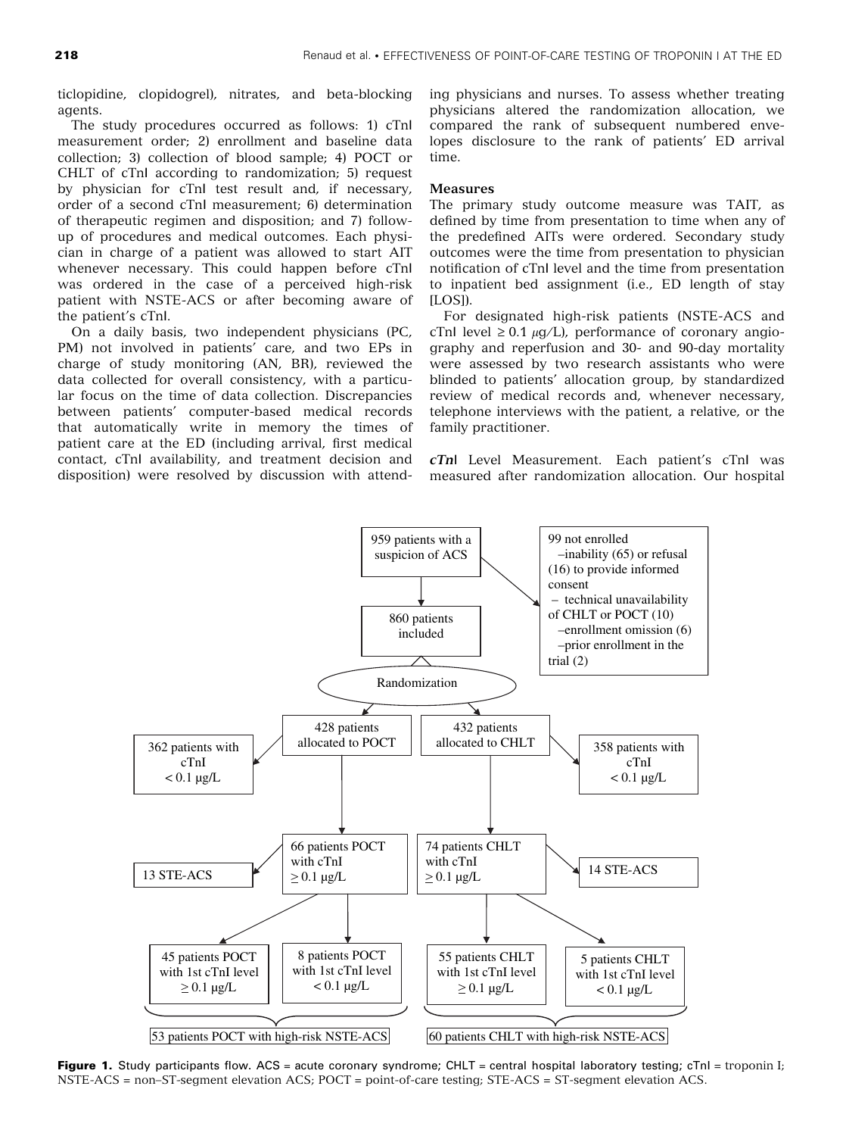ticlopidine, clopidogrel), nitrates, and beta-blocking agents.

The study procedures occurred as follows: 1) cTnI measurement order; 2) enrollment and baseline data collection; 3) collection of blood sample; 4) POCT or CHLT of cTnI according to randomization; 5) request by physician for cTnI test result and, if necessary, order of a second cTnI measurement; 6) determination of therapeutic regimen and disposition; and 7) followup of procedures and medical outcomes. Each physician in charge of a patient was allowed to start AIT whenever necessary. This could happen before cTnI was ordered in the case of a perceived high-risk patient with NSTE-ACS or after becoming aware of the patient's cTnI.

On a daily basis, two independent physicians (PC, PM) not involved in patients' care, and two EPs in charge of study monitoring (AN, BR), reviewed the data collected for overall consistency, with a particular focus on the time of data collection. Discrepancies between patients' computer-based medical records that automatically write in memory the times of patient care at the ED (including arrival, first medical contact, cTnI availability, and treatment decision and disposition) were resolved by discussion with attending physicians and nurses. To assess whether treating physicians altered the randomization allocation, we compared the rank of subsequent numbered envelopes disclosure to the rank of patients' ED arrival time.

# Measures

The primary study outcome measure was TAIT, as defined by time from presentation to time when any of the predefined AITs were ordered. Secondary study outcomes were the time from presentation to physician notification of cTnI level and the time from presentation to inpatient bed assignment (i.e., ED length of stay [LOS]).

For designated high-risk patients (NSTE-ACS and cTnI level  $\ge 0.1 \mu g/L$ ), performance of coronary angiography and reperfusion and 30- and 90-day mortality were assessed by two research assistants who were blinded to patients' allocation group, by standardized review of medical records and, whenever necessary, telephone interviews with the patient, a relative, or the family practitioner.

cTnI Level Measurement. Each patient's cTnI was measured after randomization allocation. Our hospital



Figure 1. Study participants flow. ACS = acute coronary syndrome; CHLT = central hospital laboratory testing; cTnI = troponin I; NSTE-ACS = non–ST-segment elevation ACS; POCT = point-of-care testing; STE-ACS = ST-segment elevation ACS.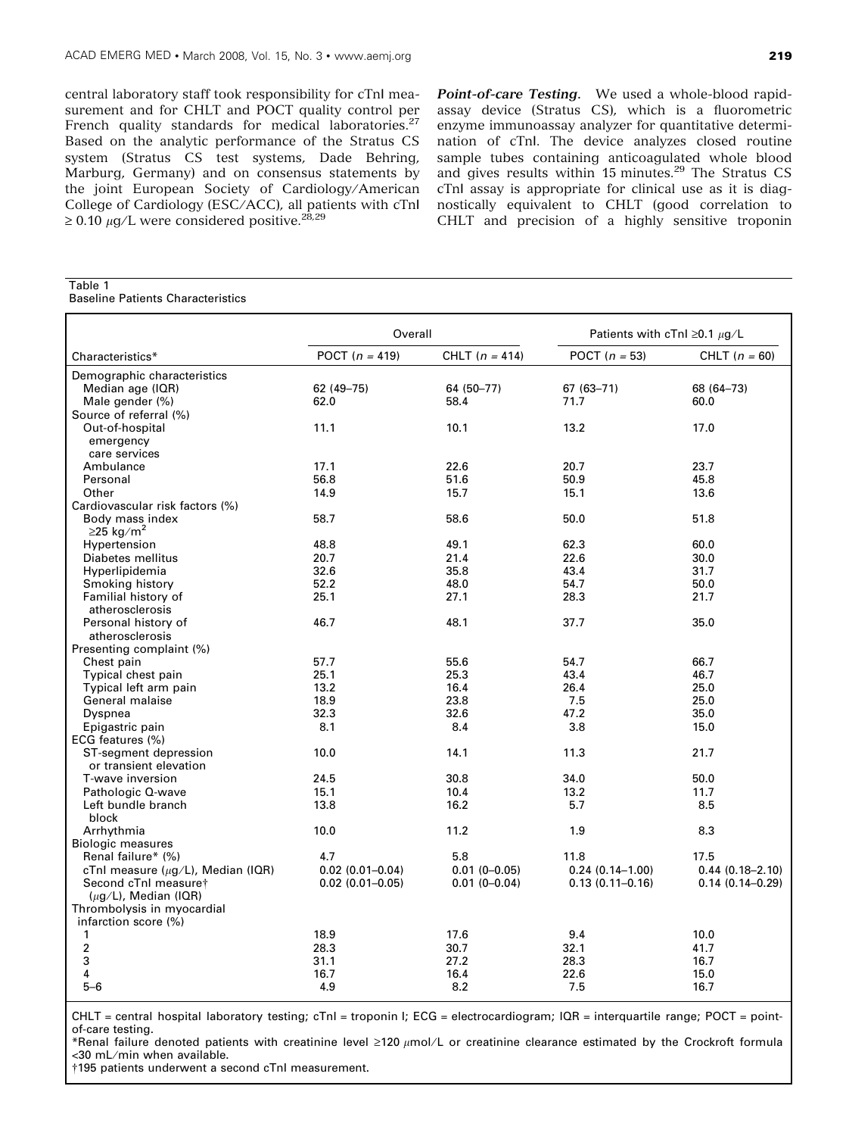central laboratory staff took responsibility for cTnI measurement and for CHLT and POCT quality control per French quality standards for medical laboratories.<sup>27</sup> Based on the analytic performance of the Stratus CS system (Stratus CS test systems, Dade Behring, Marburg, Germany) and on consensus statements by the joint European Society of Cardiology/American College of Cardiology (ESC/ACC), all patients with cTnl  $\geq 0.10 \mu g/L$  were considered positive.<sup>28,29</sup>

Point-of-care Testing. We used a whole-blood rapidassay device (Stratus CS), which is a fluorometric enzyme immunoassay analyzer for quantitative determination of cTnI. The device analyzes closed routine sample tubes containing anticoagulated whole blood and gives results within 15 minutes.<sup>29</sup> The Stratus CS cTnI assay is appropriate for clinical use as it is diagnostically equivalent to CHLT (good correlation to CHLT and precision of a highly sensitive troponin

### Table 1 Baseline Patients Characteristics

|                                                    | Overall             |                  | Patients with cTnl $\geq$ 0.1 $\mu$ g/L |                     |
|----------------------------------------------------|---------------------|------------------|-----------------------------------------|---------------------|
| Characteristics*                                   | POCT $(n = 419)$    | CHLT $(n = 414)$ | POCT $(n = 53)$                         | CHLT $(n = 60)$     |
| Demographic characteristics                        |                     |                  |                                         |                     |
| Median age (IQR)                                   | 62 (49-75)          | 64 (50-77)       | $67(63 - 71)$                           | 68 (64-73)          |
| Male gender (%)                                    | 62.0                | 58.4             | 71.7                                    | 60.0                |
| Source of referral (%)                             |                     |                  |                                         |                     |
| Out-of-hospital                                    | 11.1                | 10.1             | 13.2                                    | 17.0                |
| emergency                                          |                     |                  |                                         |                     |
| care services                                      |                     |                  |                                         |                     |
| Ambulance                                          | 17.1                | 22.6             | 20.7                                    | 23.7                |
| Personal                                           | 56.8                | 51.6             | 50.9                                    | 45.8                |
| Other                                              | 14.9                | 15.7             | 15.1                                    | 13.6                |
| Cardiovascular risk factors (%)                    |                     |                  |                                         |                     |
| Body mass index<br>$\geq$ 25 kg/m <sup>2</sup>     | 58.7                | 58.6             | 50.0                                    | 51.8                |
| Hypertension                                       | 48.8                | 49.1             | 62.3                                    | 60.0                |
| Diabetes mellitus                                  | 20.7                | 21.4             | 22.6                                    | 30.0                |
| Hyperlipidemia                                     | 32.6                | 35.8             | 43.4                                    | 31.7                |
| Smoking history                                    | 52.2                | 48.0             | 54.7                                    | 50.0                |
| Familial history of<br>atherosclerosis             | 25.1                | 27.1             | 28.3                                    | 21.7                |
| Personal history of                                | 46.7                | 48.1             | 37.7                                    | 35.0                |
| atherosclerosis                                    |                     |                  |                                         |                     |
| Presenting complaint (%)                           |                     |                  |                                         |                     |
| Chest pain                                         | 57.7                | 55.6             | 54.7                                    | 66.7                |
| Typical chest pain                                 | 25.1                | 25.3             | 43.4                                    | 46.7                |
| Typical left arm pain                              | 13.2                | 16.4             | 26.4                                    | 25.0                |
| General malaise                                    | 18.9                | 23.8             | 7.5                                     | 25.0<br>35.0        |
| Dyspnea                                            | 32.3                | 32.6             | 47.2                                    |                     |
| Epigastric pain                                    | 8.1                 | 8.4              | 3.8                                     | 15.0                |
| ECG features (%)                                   |                     |                  |                                         |                     |
| ST-segment depression<br>or transient elevation    | 10.0                | 14.1             | 11.3                                    | 21.7                |
| T-wave inversion                                   | 24.5                | 30.8             | 34.0                                    | 50.0                |
| Pathologic Q-wave                                  | 15.1                | 10.4             | 13.2                                    | 11.7                |
| Left bundle branch                                 | 13.8                | 16.2             | 5.7                                     | 8.5                 |
| block                                              |                     |                  |                                         |                     |
| Arrhythmia                                         | 10.0                | 11.2             | 1.9                                     | 8.3                 |
| <b>Biologic measures</b>                           |                     |                  |                                         |                     |
| Renal failure* (%)                                 | 4.7                 | 5.8              | 11.8                                    | 17.5                |
| cTnl measure $(\mu q/L)$ , Median (IQR)            | $0.02(0.01 - 0.04)$ | $0.01(0 - 0.05)$ | $0.24(0.14 - 1.00)$                     | $0.44(0.18 - 2.10)$ |
| Second cTnl measuret                               | $0.02$ (0.01-0.05)  | $0.01(0 - 0.04)$ | $0.13(0.11 - 0.16)$                     | $0.14(0.14 - 0.29)$ |
| $(\mu g/L)$ , Median (IQR)                         |                     |                  |                                         |                     |
| Thrombolysis in myocardial<br>infarction score (%) |                     |                  |                                         |                     |
| 1                                                  | 18.9                | 17.6             | 9.4                                     | 10.0                |
| $\overline{2}$                                     | 28.3                | 30.7             | 32.1                                    | 41.7                |
| 3                                                  | 31.1                | 27.2             | 28.3                                    | 16.7                |
| 4                                                  | 16.7                | 16.4             | 22.6                                    | 15.0                |
| $5 - 6$                                            | 4.9                 | 8.2              | 7.5                                     | 16.7                |
|                                                    |                     |                  |                                         |                     |

CHLT = central hospital laboratory testing; cTnI = troponin I; ECG = electrocardiogram; IQR = interquartile range; POCT = pointof-care testing.

\*Renal failure denoted patients with creatinine level ≥120 µmol/L or creatinine clearance estimated by the Crockroft formula <30 mL/min when available.

-195 patients underwent a second cTnI measurement.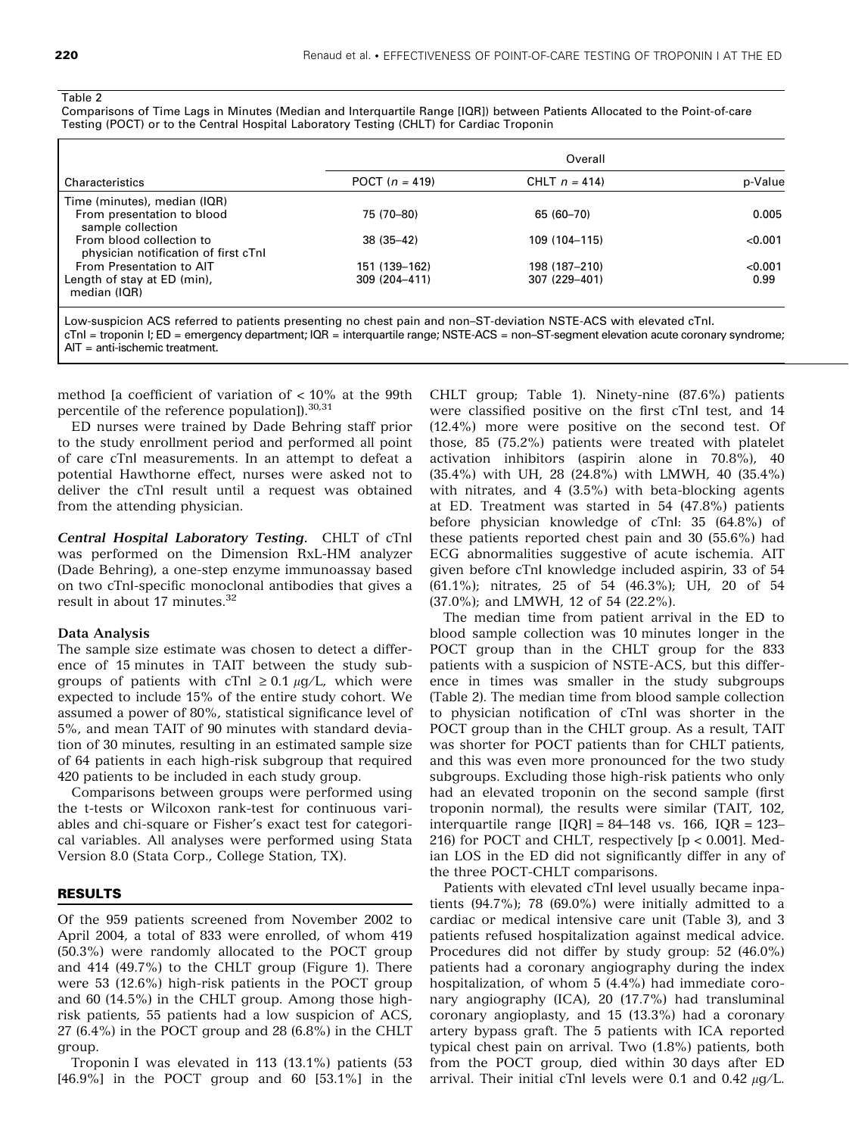#### Table 2

Comparisons of Time Lags in Minutes (Median and Interquartile Range [IQR]) between Patients Allocated to the Point-of-care Testing (POCT) or to the Central Hospital Laboratory Testing (CHLT) for Cardiac Troponin

| Characteristics                                                  | Overall          |                |         |  |
|------------------------------------------------------------------|------------------|----------------|---------|--|
|                                                                  | POCT $(n = 419)$ | CHLT $n = 414$ | p-Value |  |
| Time (minutes), median (IQR)                                     |                  |                |         |  |
| From presentation to blood<br>sample collection                  | 75 (70-80)       | 65 (60-70)     | 0.005   |  |
| From blood collection to<br>physician notification of first cTnl | $38(35 - 42)$    | 109 (104-115)  | < 0.001 |  |
| From Presentation to AIT                                         | 151 (139-162)    | 198 (187-210)  | < 0.001 |  |
| Length of stay at ED (min),<br>median (IQR)                      | $309(204 - 411)$ | 307 (229-401)  | 0.99    |  |

Low-suspicion ACS referred to patients presenting no chest pain and non–ST-deviation NSTE-ACS with elevated cTnI.

cTnI = troponin I; ED = emergency department; IQR = interquartile range; NSTE-ACS = non–ST-segment elevation acute coronary syndrome; AIT = anti-ischemic treatment.

method [a coefficient of variation of < 10% at the 99th percentile of the reference population]).<sup>30,31</sup>

ED nurses were trained by Dade Behring staff prior to the study enrollment period and performed all point of care cTnI measurements. In an attempt to defeat a potential Hawthorne effect, nurses were asked not to deliver the cTnI result until a request was obtained from the attending physician.

Central Hospital Laboratory Testing. CHLT of cTnI was performed on the Dimension RxL-HM analyzer (Dade Behring), a one-step enzyme immunoassay based on two cTnI-specific monoclonal antibodies that gives a result in about 17 minutes.<sup>32</sup>

## Data Analysis

The sample size estimate was chosen to detect a difference of 15 minutes in TAIT between the study subgroups of patients with cTnI  $\geq 0.1 \mu g/L$ , which were expected to include 15% of the entire study cohort. We assumed a power of 80%, statistical significance level of 5%, and mean TAIT of 90 minutes with standard deviation of 30 minutes, resulting in an estimated sample size of 64 patients in each high-risk subgroup that required 420 patients to be included in each study group.

Comparisons between groups were performed using the t-tests or Wilcoxon rank-test for continuous variables and chi-square or Fisher's exact test for categorical variables. All analyses were performed using Stata Version 8.0 (Stata Corp., College Station, TX).

# RESULTS

Of the 959 patients screened from November 2002 to April 2004, a total of 833 were enrolled, of whom 419 (50.3%) were randomly allocated to the POCT group and 414 (49.7%) to the CHLT group (Figure 1). There were 53 (12.6%) high-risk patients in the POCT group and 60 (14.5%) in the CHLT group. Among those highrisk patients, 55 patients had a low suspicion of ACS, 27 (6.4%) in the POCT group and 28 (6.8%) in the CHLT group.

Troponin I was elevated in 113 (13.1%) patients (53 [46.9%] in the POCT group and 60 [53.1%] in the CHLT group; Table 1). Ninety-nine (87.6%) patients were classified positive on the first cTnI test, and 14 (12.4%) more were positive on the second test. Of those, 85 (75.2%) patients were treated with platelet activation inhibitors (aspirin alone in 70.8%), 40 (35.4%) with UH, 28 (24.8%) with LMWH, 40 (35.4%) with nitrates, and 4 (3.5%) with beta-blocking agents at ED. Treatment was started in 54 (47.8%) patients before physician knowledge of cTnI: 35 (64.8%) of these patients reported chest pain and 30 (55.6%) had ECG abnormalities suggestive of acute ischemia. AIT given before cTnI knowledge included aspirin, 33 of 54 (61.1%); nitrates, 25 of 54 (46.3%); UH, 20 of 54 (37.0%); and LMWH, 12 of 54 (22.2%).

The median time from patient arrival in the ED to blood sample collection was 10 minutes longer in the POCT group than in the CHLT group for the 833 patients with a suspicion of NSTE-ACS, but this difference in times was smaller in the study subgroups (Table 2). The median time from blood sample collection to physician notification of cTnI was shorter in the POCT group than in the CHLT group. As a result, TAIT was shorter for POCT patients than for CHLT patients, and this was even more pronounced for the two study subgroups. Excluding those high-risk patients who only had an elevated troponin on the second sample (first troponin normal), the results were similar (TAIT, 102, interquartile range  $[IQR] = 84-148$  vs. 166,  $IQR = 123-$ 216) for POCT and CHLT, respectively [p < 0.001]. Median LOS in the ED did not significantly differ in any of the three POCT-CHLT comparisons.

Patients with elevated cTnI level usually became inpatients (94.7%); 78 (69.0%) were initially admitted to a cardiac or medical intensive care unit (Table 3), and 3 patients refused hospitalization against medical advice. Procedures did not differ by study group: 52 (46.0%) patients had a coronary angiography during the index hospitalization, of whom 5 (4.4%) had immediate coronary angiography (ICA), 20 (17.7%) had transluminal coronary angioplasty, and 15 (13.3%) had a coronary artery bypass graft. The 5 patients with ICA reported typical chest pain on arrival. Two (1.8%) patients, both from the POCT group, died within 30 days after ED arrival. Their initial cTnI levels were 0.1 and 0.42  $\mu$ q/L.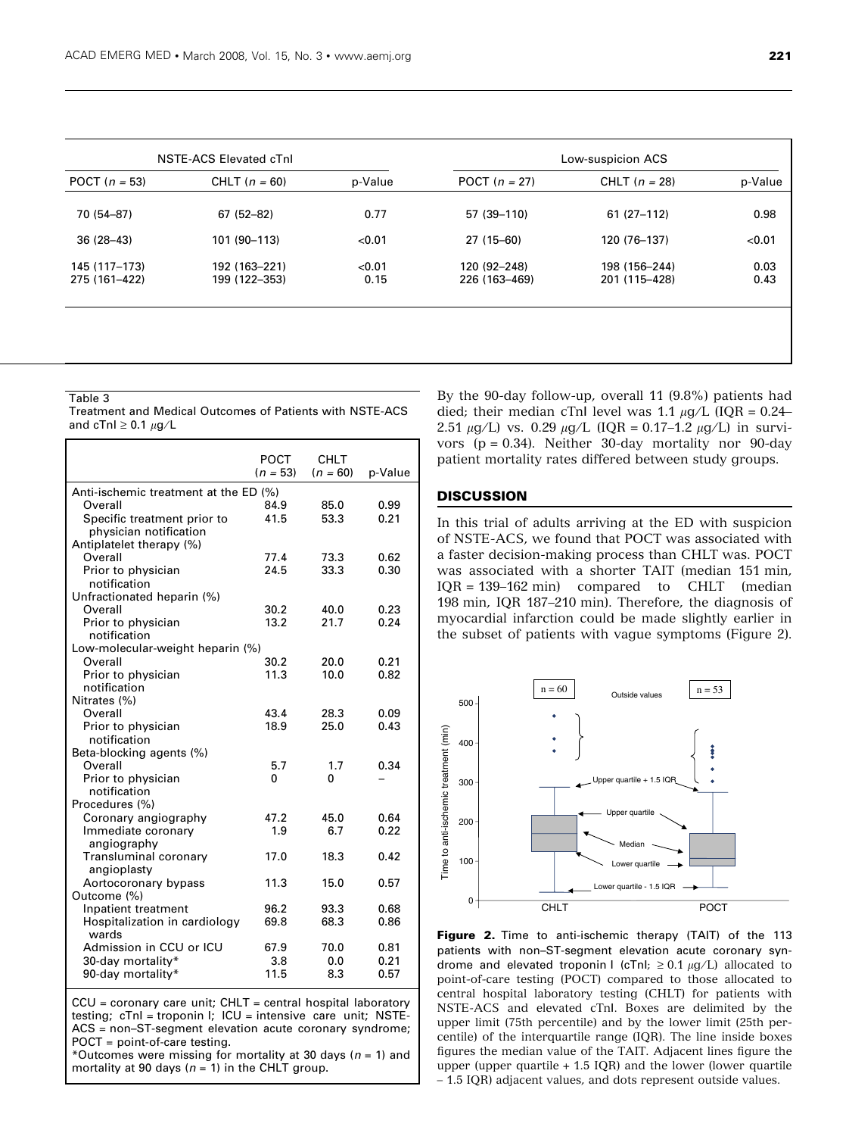| NSTE-ACS Elevated cTnl         |                |                               | Low-suspicion ACS              |              |  |
|--------------------------------|----------------|-------------------------------|--------------------------------|--------------|--|
| CHLT $(n = 60)$                | p-Value        | POCT $(n = 27)$               | CHLT $(n = 28)$                | p-Value      |  |
| 67 (52-82)                     | 0.77           | 57 (39-110)                   | $61(27-112)$                   | 0.98         |  |
| 101 (90-113)                   | < 0.01         | $27(15-60)$                   | 120 (76-137)                   | < 0.01       |  |
| 192 (163-221)<br>199 (122–353) | < 0.01<br>0.15 | 120 (92-248)<br>226 (163-469) | 198 (156-244)<br>201 (115-428) | 0.03<br>0.43 |  |
|                                |                |                               |                                |              |  |

## Table 3

Treatment and Medical Outcomes of Patients with NSTE-ACS and  $cTnl \ge 0.1 \mu q/L$ 

|                                       | <b>POCT</b><br>$(n = 53)$ | <b>CHLT</b><br>$(n = 60)$ | p-Value |  |
|---------------------------------------|---------------------------|---------------------------|---------|--|
| Anti-ischemic treatment at the ED (%) |                           |                           |         |  |
| Overall                               | 84.9                      | 85.0                      | 0.99    |  |
| Specific treatment prior to           | 41.5                      | 53.3                      | 0.21    |  |
| physician notification                |                           |                           |         |  |
| Antiplatelet therapy (%)              |                           |                           |         |  |
| Overall                               | 77.4                      | 73.3                      | 0.62    |  |
| Prior to physician                    | 24.5                      | 33.3                      | 0.30    |  |
| notification                          |                           |                           |         |  |
| Unfractionated heparin (%)            |                           |                           |         |  |
| Overall                               | 30.2                      | 40.0                      | 0.23    |  |
| Prior to physician                    | 13.2                      | 21.7                      | 0.24    |  |
| notification                          |                           |                           |         |  |
| Low-molecular-weight heparin (%)      |                           |                           |         |  |
| Overall                               | 30.2                      | 20.0                      | 0.21    |  |
| Prior to physician                    | 11.3                      | 10.0                      | 0.82    |  |
| notification                          |                           |                           |         |  |
| Nitrates (%)                          |                           |                           |         |  |
| Overall                               | 43.4                      | 28.3                      | 0.09    |  |
| Prior to physician                    | 18.9                      | 25.0                      | 0.43    |  |
| notification                          |                           |                           |         |  |
| Beta-blocking agents (%)              |                           |                           |         |  |
| Overall                               | 5.7                       | 1.7                       | 0.34    |  |
| Prior to physician                    | 0                         | O                         |         |  |
| notification                          |                           |                           |         |  |
| Procedures (%)                        |                           |                           |         |  |
| Coronary angiography                  | 47.2                      | 45.0                      | 0.64    |  |
| Immediate coronary                    | 1.9                       | 6.7                       | 0.22    |  |
| angiography                           |                           |                           |         |  |
| <b>Transluminal coronary</b>          | 17.0                      | 18.3                      | 0.42    |  |
| angioplasty                           |                           |                           |         |  |
| Aortocoronary bypass                  | 11.3                      | 15.0                      | 0.57    |  |
| Outcome (%)                           |                           |                           |         |  |
| Inpatient treatment                   | 96.2                      | 93.3                      | 0.68    |  |
| Hospitalization in cardiology         | 69.8                      | 68.3                      | 0.86    |  |
| wards                                 |                           |                           |         |  |
| Admission in CCU or ICU               | 67.9                      | 70.0                      | 0.81    |  |
| 30-day mortality*                     | 3.8                       | 0.0                       | 0.21    |  |
| 90-day mortality*                     | 11.5                      | 8.3                       | 0.57    |  |
|                                       |                           |                           |         |  |

CCU = coronary care unit; CHLT = central hospital laboratory testing; cTnI = troponin I; ICU = intensive care unit; NSTE-ACS = non–ST-segment elevation acute coronary syndrome; POCT = point-of-care testing.

\*Outcomes were missing for mortality at 30 days ( $n = 1$ ) and mortality at 90 days ( $n = 1$ ) in the CHLT group.

By the 90-day follow-up, overall 11 (9.8%) patients had died; their median cTnI level was  $1.1 \mu g/L$  (IQR = 0.24– 2.51  $\mu$ g/L) vs. 0.29  $\mu$ g/L (IQR = 0.17–1.2  $\mu$ g/L) in survivors ( $p = 0.34$ ). Neither 30-day mortality nor 90-day patient mortality rates differed between study groups.

# **DISCUSSION**

In this trial of adults arriving at the ED with suspicion of NSTE-ACS, we found that POCT was associated with a faster decision-making process than CHLT was. POCT was associated with a shorter TAIT (median 151 min, IQR = 139–162 min) compared to CHLT (median 198 min, IQR 187–210 min). Therefore, the diagnosis of myocardial infarction could be made slightly earlier in the subset of patients with vague symptoms (Figure 2).



Figure 2. Time to anti-ischemic therapy (TAIT) of the 113 patients with non–ST-segment elevation acute coronary syndrome and elevated troponin I (cTnI;  $\geq 0.1 \mu g/L$ ) allocated to point-of-care testing (POCT) compared to those allocated to central hospital laboratory testing (CHLT) for patients with NSTE-ACS and elevated cTnI. Boxes are delimited by the upper limit (75th percentile) and by the lower limit (25th percentile) of the interquartile range (IQR). The line inside boxes figures the median value of the TAIT. Adjacent lines figure the upper (upper quartile + 1.5 IQR) and the lower (lower quartile – 1.5 IQR) adjacent values, and dots represent outside values.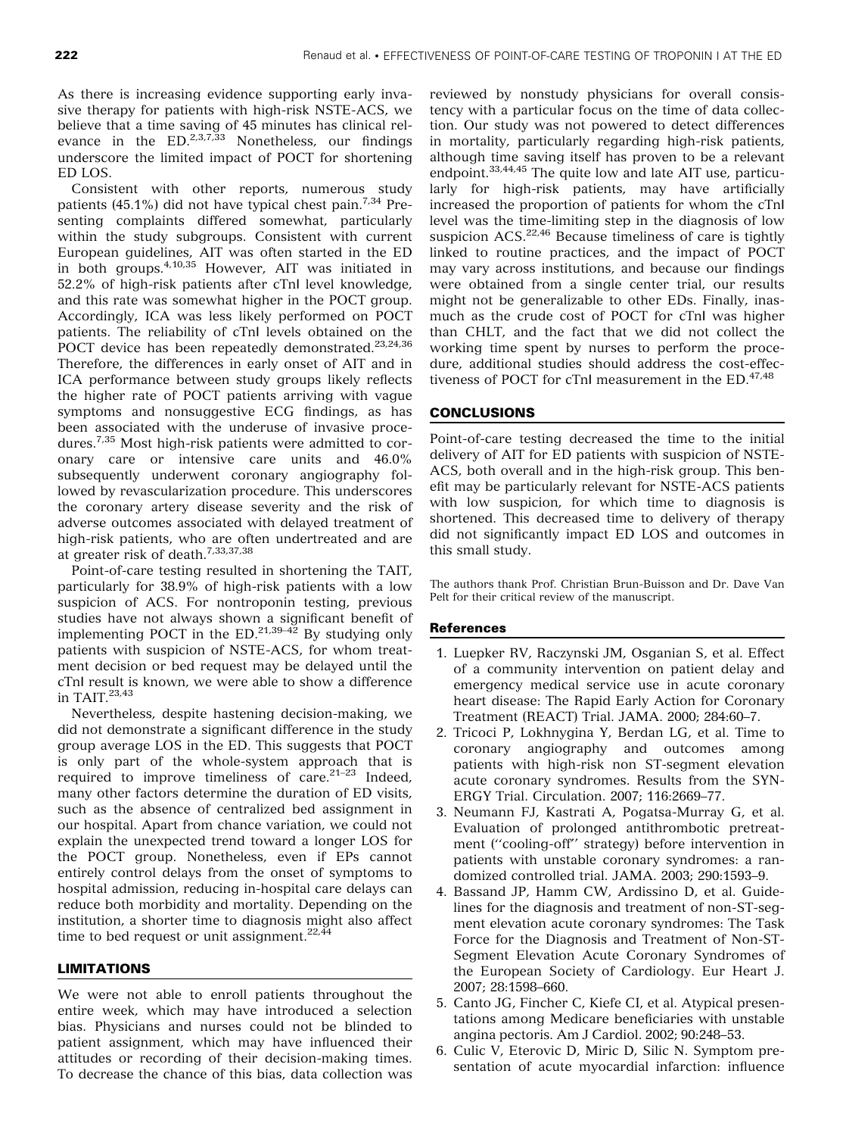As there is increasing evidence supporting early invasive therapy for patients with high-risk NSTE-ACS, we believe that a time saving of 45 minutes has clinical relevance in the  $ED^{2,3,7,33}$  Nonetheless, our findings underscore the limited impact of POCT for shortening ED LOS.

Consistent with other reports, numerous study patients (45.1%) did not have typical chest pain.<sup>7,34</sup> Presenting complaints differed somewhat, particularly within the study subgroups. Consistent with current European guidelines, AIT was often started in the ED in both groups.4,10,35 However, AIT was initiated in 52.2% of high-risk patients after cTnI level knowledge, and this rate was somewhat higher in the POCT group. Accordingly, ICA was less likely performed on POCT patients. The reliability of cTnI levels obtained on the POCT device has been repeatedly demonstrated.<sup>23,24,36</sup> Therefore, the differences in early onset of AIT and in ICA performance between study groups likely reflects the higher rate of POCT patients arriving with vague symptoms and nonsuggestive ECG findings, as has been associated with the underuse of invasive procedures.7,35 Most high-risk patients were admitted to coronary care or intensive care units and 46.0% subsequently underwent coronary angiography followed by revascularization procedure. This underscores the coronary artery disease severity and the risk of adverse outcomes associated with delayed treatment of high-risk patients, who are often undertreated and are at greater risk of death.7,33,37,38

Point-of-care testing resulted in shortening the TAIT, particularly for 38.9% of high-risk patients with a low suspicion of ACS. For nontroponin testing, previous studies have not always shown a significant benefit of implementing POCT in the ED.<sup>21,39-42</sup> By studying only patients with suspicion of NSTE-ACS, for whom treatment decision or bed request may be delayed until the cTnI result is known, we were able to show a difference in TAIT. $23,43$ 

Nevertheless, despite hastening decision-making, we did not demonstrate a significant difference in the study group average LOS in the ED. This suggests that POCT is only part of the whole-system approach that is required to improve timeliness of care. $21-23$  Indeed, many other factors determine the duration of ED visits, such as the absence of centralized bed assignment in our hospital. Apart from chance variation, we could not explain the unexpected trend toward a longer LOS for the POCT group. Nonetheless, even if EPs cannot entirely control delays from the onset of symptoms to hospital admission, reducing in-hospital care delays can reduce both morbidity and mortality. Depending on the institution, a shorter time to diagnosis might also affect time to bed request or unit assignment. $22,44$ 

## LIMITATIONS

We were not able to enroll patients throughout the entire week, which may have introduced a selection bias. Physicians and nurses could not be blinded to patient assignment, which may have influenced their attitudes or recording of their decision-making times. To decrease the chance of this bias, data collection was

reviewed by nonstudy physicians for overall consistency with a particular focus on the time of data collection. Our study was not powered to detect differences in mortality, particularly regarding high-risk patients, although time saving itself has proven to be a relevant endpoint.<sup>33,44,45</sup> The quite low and late AIT use, particularly for high-risk patients, may have artificially increased the proportion of patients for whom the cTnI level was the time-limiting step in the diagnosis of low suspicion  $ACS<sup>22,46</sup>$  Because timeliness of care is tightly linked to routine practices, and the impact of POCT may vary across institutions, and because our findings were obtained from a single center trial, our results might not be generalizable to other EDs. Finally, inasmuch as the crude cost of POCT for cTnI was higher than CHLT, and the fact that we did not collect the working time spent by nurses to perform the procedure, additional studies should address the cost-effectiveness of POCT for cTnI measurement in the ED.<sup>47,48</sup>

## CONCLUSIONS

Point-of-care testing decreased the time to the initial delivery of AIT for ED patients with suspicion of NSTE-ACS, both overall and in the high-risk group. This benefit may be particularly relevant for NSTE-ACS patients with low suspicion, for which time to diagnosis is shortened. This decreased time to delivery of therapy did not significantly impact ED LOS and outcomes in this small study.

The authors thank Prof. Christian Brun-Buisson and Dr. Dave Van Pelt for their critical review of the manuscript.

## References

- 1. Luepker RV, Raczynski JM, Osganian S, et al. Effect of a community intervention on patient delay and emergency medical service use in acute coronary heart disease: The Rapid Early Action for Coronary Treatment (REACT) Trial. JAMA. 2000; 284:60–7.
- 2. Tricoci P, Lokhnygina Y, Berdan LG, et al. Time to coronary angiography and outcomes among patients with high-risk non ST-segment elevation acute coronary syndromes. Results from the SYN-ERGY Trial. Circulation. 2007; 116:2669–77.
- 3. Neumann FJ, Kastrati A, Pogatsa-Murray G, et al. Evaluation of prolonged antithrombotic pretreatment (''cooling-off'' strategy) before intervention in patients with unstable coronary syndromes: a randomized controlled trial. JAMA. 2003; 290:1593–9.
- 4. Bassand JP, Hamm CW, Ardissino D, et al. Guidelines for the diagnosis and treatment of non-ST-segment elevation acute coronary syndromes: The Task Force for the Diagnosis and Treatment of Non-ST-Segment Elevation Acute Coronary Syndromes of the European Society of Cardiology. Eur Heart J. 2007; 28:1598–660.
- 5. Canto JG, Fincher C, Kiefe CI, et al. Atypical presentations among Medicare beneficiaries with unstable angina pectoris. Am J Cardiol. 2002; 90:248–53.
- 6. Culic V, Eterovic D, Miric D, Silic N. Symptom presentation of acute myocardial infarction: influence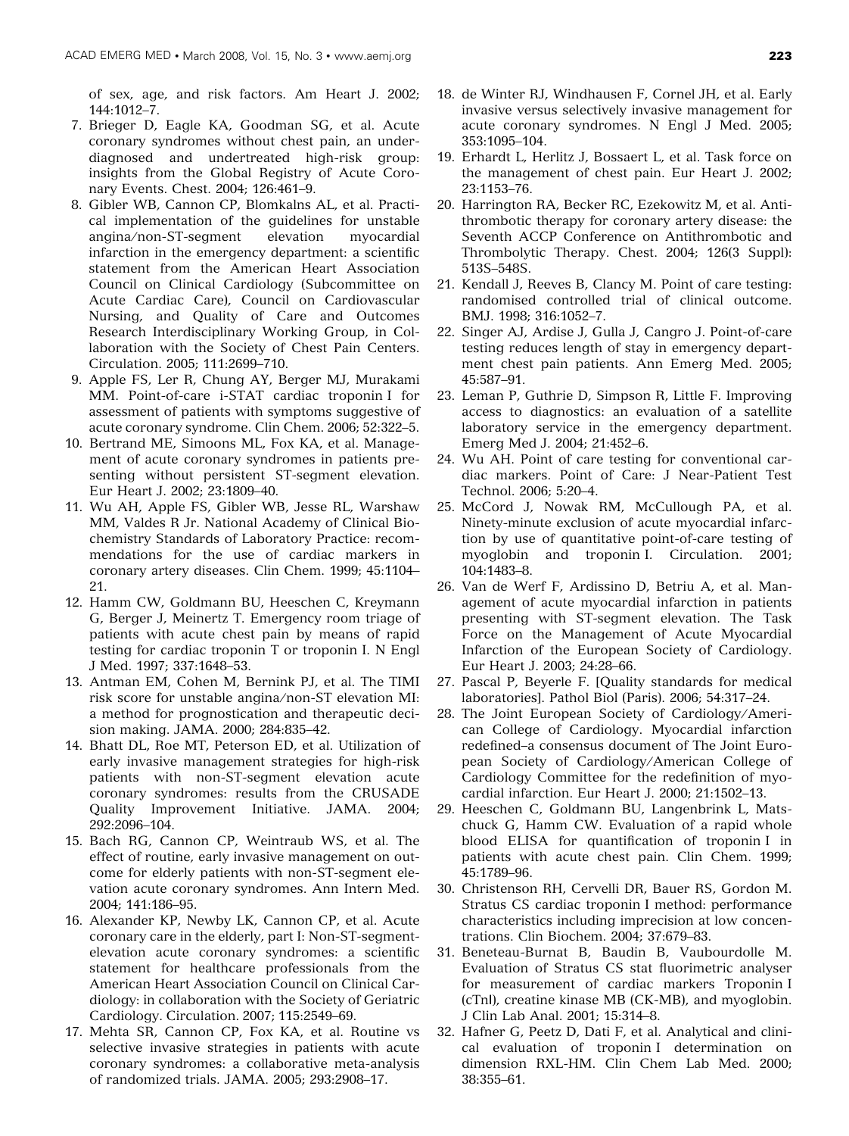of sex, age, and risk factors. Am Heart J. 2002; 144:1012–7.

- 7. Brieger D, Eagle KA, Goodman SG, et al. Acute coronary syndromes without chest pain, an underdiagnosed and undertreated high-risk group: insights from the Global Registry of Acute Coronary Events. Chest. 2004; 126:461–9.
- 8. Gibler WB, Cannon CP, Blomkalns AL, et al. Practical implementation of the guidelines for unstable angina/non-ST-segment elevation myocardial infarction in the emergency department: a scientific statement from the American Heart Association Council on Clinical Cardiology (Subcommittee on Acute Cardiac Care), Council on Cardiovascular Nursing, and Quality of Care and Outcomes Research Interdisciplinary Working Group, in Collaboration with the Society of Chest Pain Centers. Circulation. 2005; 111:2699–710.
- 9. Apple FS, Ler R, Chung AY, Berger MJ, Murakami MM. Point-of-care i-STAT cardiac troponin I for assessment of patients with symptoms suggestive of acute coronary syndrome. Clin Chem. 2006; 52:322–5.
- 10. Bertrand ME, Simoons ML, Fox KA, et al. Management of acute coronary syndromes in patients presenting without persistent ST-segment elevation. Eur Heart J. 2002; 23:1809–40.
- 11. Wu AH, Apple FS, Gibler WB, Jesse RL, Warshaw MM, Valdes R Jr. National Academy of Clinical Biochemistry Standards of Laboratory Practice: recommendations for the use of cardiac markers in coronary artery diseases. Clin Chem. 1999; 45:1104– 21.
- 12. Hamm CW, Goldmann BU, Heeschen C, Kreymann G, Berger J, Meinertz T. Emergency room triage of patients with acute chest pain by means of rapid testing for cardiac troponin T or troponin I. N Engl J Med. 1997; 337:1648–53.
- 13. Antman EM, Cohen M, Bernink PJ, et al. The TIMI risk score for unstable angina/non-ST elevation MI: a method for prognostication and therapeutic decision making. JAMA. 2000; 284:835–42.
- 14. Bhatt DL, Roe MT, Peterson ED, et al. Utilization of early invasive management strategies for high-risk patients with non-ST-segment elevation acute coronary syndromes: results from the CRUSADE Quality Improvement Initiative. JAMA. 2004; 292:2096–104.
- 15. Bach RG, Cannon CP, Weintraub WS, et al. The effect of routine, early invasive management on outcome for elderly patients with non-ST-segment elevation acute coronary syndromes. Ann Intern Med. 2004; 141:186–95.
- 16. Alexander KP, Newby LK, Cannon CP, et al. Acute coronary care in the elderly, part I: Non-ST-segmentelevation acute coronary syndromes: a scientific statement for healthcare professionals from the American Heart Association Council on Clinical Cardiology: in collaboration with the Society of Geriatric Cardiology. Circulation. 2007; 115:2549–69.
- 17. Mehta SR, Cannon CP, Fox KA, et al. Routine vs selective invasive strategies in patients with acute coronary syndromes: a collaborative meta-analysis of randomized trials. JAMA. 2005; 293:2908–17.
- 18. de Winter RJ, Windhausen F, Cornel JH, et al. Early invasive versus selectively invasive management for acute coronary syndromes. N Engl J Med. 2005; 353:1095–104.
- 19. Erhardt L, Herlitz J, Bossaert L, et al. Task force on the management of chest pain. Eur Heart J. 2002; 23:1153–76.
- 20. Harrington RA, Becker RC, Ezekowitz M, et al. Antithrombotic therapy for coronary artery disease: the Seventh ACCP Conference on Antithrombotic and Thrombolytic Therapy. Chest. 2004; 126(3 Suppl): 513S–548S.
- 21. Kendall J, Reeves B, Clancy M. Point of care testing: randomised controlled trial of clinical outcome. BMJ. 1998; 316:1052–7.
- 22. Singer AJ, Ardise J, Gulla J, Cangro J. Point-of-care testing reduces length of stay in emergency department chest pain patients. Ann Emerg Med. 2005; 45:587–91.
- 23. Leman P, Guthrie D, Simpson R, Little F. Improving access to diagnostics: an evaluation of a satellite laboratory service in the emergency department. Emerg Med J. 2004; 21:452–6.
- 24. Wu AH. Point of care testing for conventional cardiac markers. Point of Care: J Near-Patient Test Technol. 2006; 5:20–4.
- 25. McCord J, Nowak RM, McCullough PA, et al. Ninety-minute exclusion of acute myocardial infarction by use of quantitative point-of-care testing of myoglobin and troponin I. Circulation. 2001; 104:1483–8.
- 26. Van de Werf F, Ardissino D, Betriu A, et al. Management of acute myocardial infarction in patients presenting with ST-segment elevation. The Task Force on the Management of Acute Myocardial Infarction of the European Society of Cardiology. Eur Heart J. 2003; 24:28–66.
- 27. Pascal P, Beyerle F. [Quality standards for medical laboratories]. Pathol Biol (Paris). 2006; 54:317–24.
- 28. The Joint European Society of Cardiology/American College of Cardiology. Myocardial infarction redefined–a consensus document of The Joint European Society of Cardiology/American College of Cardiology Committee for the redefinition of myocardial infarction. Eur Heart J. 2000; 21:1502–13.
- 29. Heeschen C, Goldmann BU, Langenbrink L, Matschuck G, Hamm CW. Evaluation of a rapid whole blood ELISA for quantification of troponin I in patients with acute chest pain. Clin Chem. 1999; 45:1789–96.
- 30. Christenson RH, Cervelli DR, Bauer RS, Gordon M. Stratus CS cardiac troponin I method: performance characteristics including imprecision at low concentrations. Clin Biochem. 2004; 37:679–83.
- 31. Beneteau-Burnat B, Baudin B, Vaubourdolle M. Evaluation of Stratus CS stat fluorimetric analyser for measurement of cardiac markers Troponin I (cTnI), creatine kinase MB (CK-MB), and myoglobin. J Clin Lab Anal. 2001; 15:314–8.
- 32. Hafner G, Peetz D, Dati F, et al. Analytical and clinical evaluation of troponin I determination on dimension RXL-HM. Clin Chem Lab Med. 2000; 38:355–61.